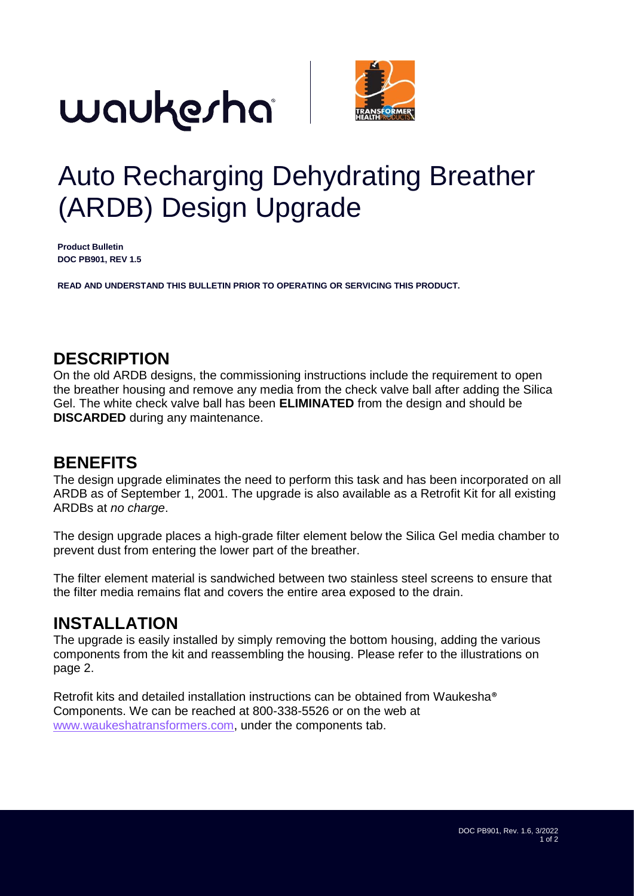



## Auto Recharging Dehydrating Breather (ARDB) Design Upgrade

**Product Bulletin DOC PB901, REV 1.5**

**READ AND UNDERSTAND THIS BULLETIN PRIOR TO OPERATING OR SERVICING THIS PRODUCT.**

### **DESCRIPTION**

On the old ARDB designs, the commissioning instructions include the requirement to open the breather housing and remove any media from the check valve ball after adding the Silica Gel. The white check valve ball has been **ELIMINATED** from the design and should be **DISCARDED** during any maintenance.

### **BENEFITS**

The design upgrade eliminates the need to perform this task and has been incorporated on all ARDB as of September 1, 2001. The upgrade is also available as a Retrofit Kit for all existing ARDBs at *no charge*.

The design upgrade places a high-grade filter element below the Silica Gel media chamber to prevent dust from entering the lower part of the breather.

The filter element material is sandwiched between two stainless steel screens to ensure that the filter media remains flat and covers the entire area exposed to the drain.

### **INSTALLATION**

The upgrade is easily installed by simply removing the bottom housing, adding the various components from the kit and reassembling the housing. Please refer to the illustrations on page 2.

Retrofit kits and detailed installation instructions can be obtained from Waukesha® Components. We can be reached at 800-338-5526 or on the web at [www.waukeshatransformers.com,](http://www.waukeshatransformers.com/) under the components tab.